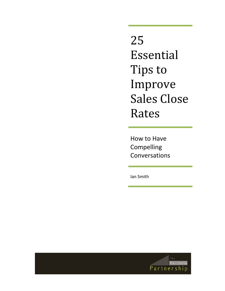25 Essential Tips to Improve Sales Close Rates

How to Have Compelling Conversations

Ian Smith

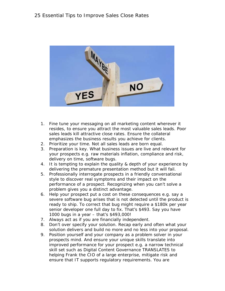

- 1. Fine tune your messaging on all marketing content wherever it resides, to ensure you attract the most valuable sales leads. Poor sales leads kill attractive close rates. Ensure the collateral emphasizes the business results you achieve for clients.
- 2. Prioritize your time. Not all sales leads are born equal.
- 3. Preparation is key. What business issues are live and relevant for your prospects e.g. raw materials inflation, compliance and risk, delivery on time, software bugs.
- 4. It is tempting to explain the quality & depth of your experience by delivering the premature presentation method but it will fail.
- 5. Professionally interrogate prospects in a friendly conversational style to discover real symptoms and their impact on the performance of a prospect. Recognizing when you can't solve a problem gives you a distinct advantage.
- 6. Help your prospect put a cost on these consequences e.g. say a severe software bug arises that is not detected until the product is ready to ship. To correct that bug might require a \$180k per year senior developer one full day to fix. That's \$493. Say you have 1000 bugs in a year – that's \$493,000!
- 7. Always act as if you are financially independent.
- 8. Don't over specify your solution. Recap early and often what your solution delivers and build no more and no less into your proposal.
- 9. Position yourself and your company as a problem solver in your prospects mind. And ensure your unique skills translate into improved performance for your prospect e.g. a narrow technical skill set such as Digital Content Governance TRANSLATES to helping Frank the CIO of a large enterprise, mitigate risk and ensure that IT supports regulatory requirements. You are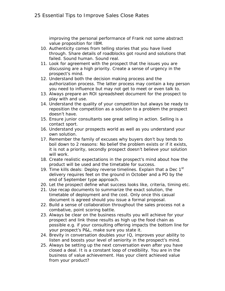improving the personal performance of Frank not some abstract value proposition for IBM.

- 10. Authenticity comes from telling stories that you have lived through. Share details of roadblocks got round and solutions that failed. Sound human. Sound real.
- 11. Look for agreement with the prospect that the issues you are discussing are a high priority. Create a sense of urgency in the prospect's mind.
- 12. Understand both the decision making process and the authorization process. The latter process may contain a key person you need to influence but may not get to meet or even talk to.
- 13. Always prepare an ROI spreadsheet document for the prospect to play with and use.
- 14. Understand the quality of your competition but always be ready to reposition the competition as a solution to a problem the prospect doesn't have.
- 15. Ensure junior consultants see great selling in action. Selling is a contact sport.
- 16. Understand your prospects world as well as you understand your own solution.
- 17. Remember the family of excuses why buyers don't buy tends to boil down to 2 reasons: No belief the problem exists or if it exists, it is not a priority, secondly prospect doesn't believe your solution will work.
- 18. Create realistic expectations in the prospect's mind about how the product will be used and the timetable for success.
- 19. Time kills deals: Deploy reverse timelines. Explain that a Dec 1<sup>st</sup> delivery requires feet on the ground in October and a PO by the end of September type approach.
- 20. Let the prospect define what success looks like, criteria, timing etc.
- 21. Use recap documents to summarize the exact solution, the timetable of deployment and the cost. Only once this casual document is agreed should you issue a formal proposal.
- 22. Build a sense of collaboration throughout the sales process not a combative, point scoring battle.
- 23. Always be clear on the business results you will achieve for your prospect and link those results as high up the food chain as possible e.g. if your consulting offering impacts the bottom line for your prospect's P&L, make sure you state it.
- 24. Brevity in conversation doubles your IQ, improves your ability to listen and boosts your level of seniority in the prospect's mind.
- 25. Always be setting up the next conversation even after you have closed a deal. It is a constant loop of credibility. You are in the business of value achievement. Has your client achieved value from your product?